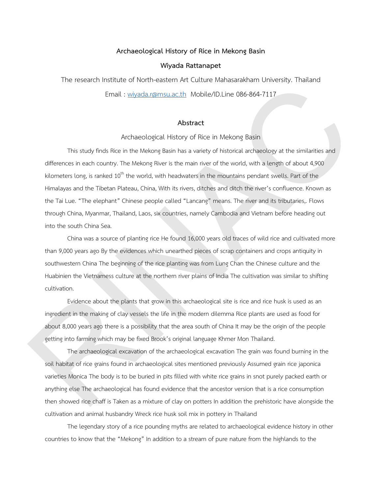## **Archaeological History of Rice in Mekong Basin**

## **Wiyada Rattanapet**

The research Institute of North-eastern Art Culture Mahasarakham University. Thailand Email : wiyada.r@msu.ac.th Mobile/ID.Line 086-864-7117

## **Abstract**

Archaeological History of Rice in Mekong Basin

This study finds Rice in the Mekong Basin has a variety of historical archaeology at the similarities and differences in each country. The Mekong River is the main river of the world, with a length of about 4,900 kilometers long, is ranked  $10<sup>th</sup>$  the world, with headwaters in the mountains pendant swells. Part of the Himalayas and the Tibetan Plateau, China, With its rivers, ditches and ditch the river's confluence. Known as the Tai Lue. "The elephant" Chinese people called "Lancang" means. The river and its tributaries,. Flows through China, Myanmar, Thailand, Laos, six countries, namely Cambodia and Vietnam before heading out into the south China Sea. The research institute of North-eastern Art Culture Manasara-warn university. Insuland<br>
Email: subjadia.computation Mobile/D.Line 066-864-7117<br>
Abstract<br>
Morhaeological History of Rice in Melong Basin<br>
This during the dist

China was a source of planting rice He found 16,000 years old traces of wild rice and cultivated more than 9,000 years ago By the evidences which unearthed pieces of scrap containers and crops antiquity in southwestern China The beginning of the rice planting was from Lung Chan the Chinese culture and the Huabinien the Vietnamess culture at the northern river plains of India The cultivation was similar to shifting cultivation.

Evidence about the plants that grow in this archaeological site is rice and rice husk is used as an ingredient in the making of clay vessels the life in the modern dilemma Rice plants are used as food for about 8,000 years ago there is a possibility that the area south of China It may be the origin of the people getting into farming which may be fixed Brook's original language Khmer Mon Thailand.

The archaeological excavation of the archaeological excavation The grain was found burning in the soil habitat of rice grains found in archaeological sites mentioned previously Assumed grain rice japonica varieties Monica The body is to be buried in pits filled with white rice grains in snot purely packed earth or anything else The archaeological has found evidence that the ancestor version that is a rice consumption then showed rice chaff is Taken as a mixture of clay on potters In addition the prehistoric have alongside the cultivation and animal husbandry Wreck rice husk soil mix in pottery in Thailand

The legendary story of a rice pounding myths are related to archaeological evidence history in other countries to know that the "Mekong" In addition to a stream of pure nature from the highlands to the